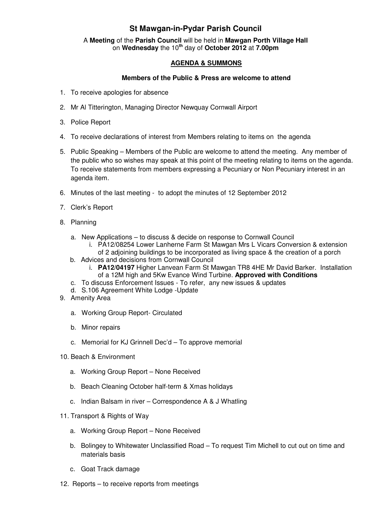## **St Mawgan-in-Pydar Parish Council**

A **Meeting** of the **Parish Council** will be held in **Mawgan Porth Village Hall** on **Wednesday** the 10**th** day of **October 2012** at **7.00pm** 

## **AGENDA & SUMMONS**

## **Members of the Public & Press are welcome to attend**

- 1. To receive apologies for absence
- 2. Mr Al Titterington, Managing Director Newquay Cornwall Airport
- 3. Police Report
- 4. To receive declarations of interest from Members relating to items on the agenda
- 5. Public Speaking Members of the Public are welcome to attend the meeting. Any member of the public who so wishes may speak at this point of the meeting relating to items on the agenda. To receive statements from members expressing a Pecuniary or Non Pecuniary interest in an agenda item.
- 6. Minutes of the last meeting to adopt the minutes of 12 September 2012
- 7. Clerk's Report
- 8. Planning
	- a. New Applications to discuss & decide on response to Cornwall Council
		- i. PA12/08254 Lower Lanherne Farm St Mawgan Mrs L Vicars Conversion & extension of 2 adjoining buildings to be incorporated as living space & the creation of a porch
	- b. Advices and decisions from Cornwall Council
		- i. **PA12/04197** Higher Lanvean Farm St Mawgan TR8 4HE Mr David Barker. Installation of a 12M high and 5Kw Evance Wind Turbine. **Approved with Conditions**
	- c. To discuss Enforcement Issues To refer, any new issues & updates
	- d. S.106 Agreement White Lodge -Update
- 9. Amenity Area
	- a. Working Group Report- Circulated
	- b. Minor repairs
	- c. Memorial for KJ Grinnell Dec'd To approve memorial
- 10. Beach & Environment
	- a. Working Group Report None Received
	- b. Beach Cleaning October half-term & Xmas holidays
	- c. Indian Balsam in river Correspondence A & J Whatling
- 11. Transport & Rights of Way
	- a. Working Group Report None Received
	- b. Bolingey to Whitewater Unclassified Road To request Tim Michell to cut out on time and materials basis
	- c. Goat Track damage
- 12. Reports to receive reports from meetings